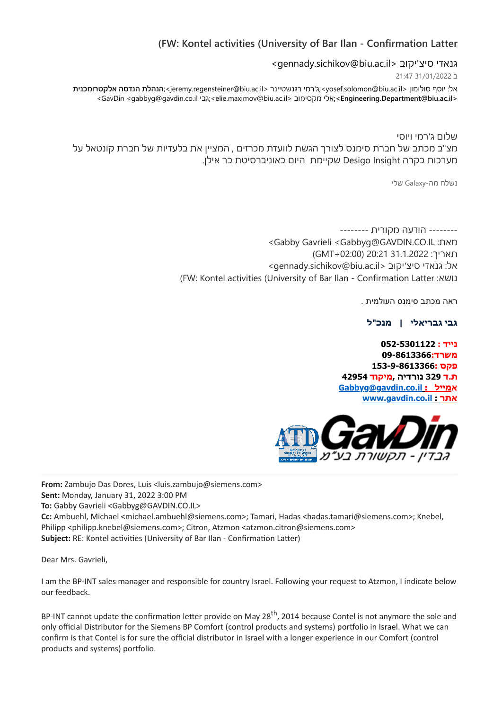## **)FW: Kontel activities (University of Bar Ilan - Confirmation Latter**

<gennady.sichikov@biu.ac.il> גנאדי סיצ'יקוב

ב 31/01/2022 21:47

**אלקטרומכנית הנדסה הנהלת**<;jeremy.regensteiner@biu.ac.il< רגנשטיינר רמי'ג<;yosef.solomon@biu.ac.il< סולומון יוסף :אל >GavDin <gabbyg@gavdin.co.il גבי<;elie.maximov@biu.ac.il< מקסימוב אלי**<;Engineering.Department@biu.ac.il<**

שלום ג'רמי ויוסי מצ"ב מכתב של חברת סימנס לצורך הגשת לוועדת מכרזים , המציין את בלעדיות של חברת קונטאל על מערכות בקרה Insight Desigo שקיימת היום באוניברסיטת בר אילן.

נשלח מה-Galaxy שלי

-------- הודעה מקורית -------- >Gabby Gavrieli <Gabbyg@GAVDIN.CO.IL :מאת תאריך: 31.1.2022 (GMT+02:00) >gennady.sichikov@biu.ac.il< יקוב'סיצ גנאדי :אל )FW: Kontel activities (University of Bar Ilan - Confirmation Latter :נושא

ראה מכתב סימנס העולמית .

**גבי גבריאלי | מנכ"ל** 

**נייד : 052-5301122 משרד09-8613366: פקס 153-9-8613366: ת.ד 329 נורדיה ,מיקוד 42954 [Gabbyg@gavdin.co.il](mailto:Gabbyg@gavdin.co.il) : א[מייל](mailto:%D7%9E%D7%99%D7%99%D7%9C%20%20%20:) [www.gavdin.co.il](https://eur02.safelinks.protection.outlook.com/?url=http%3A%2F%2Fwww.gavdin.co.il%2F&data=04%7C01%7Ctalia.simana%40biu.ac.il%7C80917531ddca4ca5113108d9e4f279c4%7C61234e145b874b67ac198feaa8ba8f12%7C1%7C0%7C637792552360478651%7CUnknown%7CTWFpbGZsb3d8eyJWIjoiMC4wLjAwMDAiLCJQIjoiV2luMzIiLCJBTiI6Ik1haWwiLCJXVCI6Mn0%3D%7C3000&sdata=C2IQLS8iKtXSzY3svuAu6ufm8PXeHrFbEf3ek0c5Smc%3D&reserved=0) : אתר**



**From:** Zambujo Das Dores, Luis <luis.zambujo@siemens.com> **Sent:** Monday, January 31, 2022 3:00 PM **To:** Gabby Gavrieli <Gabbyg@GAVDIN.CO.IL> **Cc:** Ambuehl, Michael <michael.ambuehl@siemens.com>; Tamari, Hadas <hadas.tamari@siemens.com>; Knebel, Philipp <philipp.knebel@siemens.com>; Citron, Atzmon <atzmon.citron@siemens.com> **Subject:** RE: Kontel activities (University of Bar Ilan - Confirmation Latter)

Dear Mrs. Gavrieli,

I am the BP-INT sales manager and responsible for country Israel. Following your request to Atzmon, I indicate below our feedback.

BP-INT cannot update the confirmation letter provide on May 28<sup>th</sup>, 2014 because Contel is not anymore the sole and only official Distributor for the Siemens BP Comfort (control products and systems) portfolio in Israel. What we can confirm is that Contel is for sure the official distributor in Israel with a longer experience in our Comfort (control products and systems) portfolio.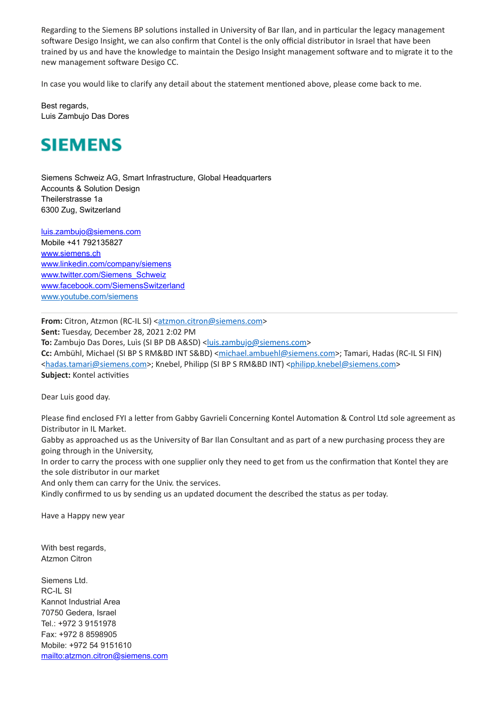Regarding to the Siemens BP solutions installed in University of Bar Ilan, and in particular the legacy management software Desigo Insight, we can also confirm that Contel is the only official distributor in Israel that have been trained by us and have the knowledge to maintain the Desigo Insight management software and to migrate it to the new management software Desigo CC.

In case you would like to clarify any detail about the statement mentioned above, please come back to me.

Best regards, Luis Zambujo Das Dores



Siemens Schweiz AG, Smart Infrastructure, Global Headquarters Accounts & Solution Design Theilerstrasse 1a 6300 Zug, Switzerland

[luis.zambujo@siemens.com](mailto:luis.zambujo@siemens.com) Mobile +41 792135827 [www.siemens.ch](https://eur02.safelinks.protection.outlook.com/?url=http%3A%2F%2Fwww.siemens.ch%2F&data=04%7C01%7Ctalia.simana%40biu.ac.il%7C80917531ddca4ca5113108d9e4f279c4%7C61234e145b874b67ac198feaa8ba8f12%7C1%7C0%7C637792552360478651%7CUnknown%7CTWFpbGZsb3d8eyJWIjoiMC4wLjAwMDAiLCJQIjoiV2luMzIiLCJBTiI6Ik1haWwiLCJXVCI6Mn0%3D%7C3000&sdata=63SW9X0XZkq7rXgFdFbSrZoOdzWYrBplpVODi6zkCwo%3D&reserved=0) [www.linkedin.com/company/siemens](https://eur02.safelinks.protection.outlook.com/?url=http%3A%2F%2Fwww.linkedin.com%2Fcompany%2Fsiemens&data=04%7C01%7Ctalia.simana%40biu.ac.il%7C80917531ddca4ca5113108d9e4f279c4%7C61234e145b874b67ac198feaa8ba8f12%7C1%7C0%7C637792552360478651%7CUnknown%7CTWFpbGZsb3d8eyJWIjoiMC4wLjAwMDAiLCJQIjoiV2luMzIiLCJBTiI6Ik1haWwiLCJXVCI6Mn0%3D%7C3000&sdata=6RyH%2BttssmKOmfYyZKOWw2sfl00REQsMsC2SMzLoN8M%3D&reserved=0) [www.twitter.com/Siemens\\_Schweiz](https://eur02.safelinks.protection.outlook.com/?url=http%3A%2F%2Fwww.twitter.com%2FSiemens_Schweiz&data=04%7C01%7Ctalia.simana%40biu.ac.il%7C80917531ddca4ca5113108d9e4f279c4%7C61234e145b874b67ac198feaa8ba8f12%7C1%7C0%7C637792552360478651%7CUnknown%7CTWFpbGZsb3d8eyJWIjoiMC4wLjAwMDAiLCJQIjoiV2luMzIiLCJBTiI6Ik1haWwiLCJXVCI6Mn0%3D%7C3000&sdata=XDCqcCZNvGVw7KaZKYNlsNm4qucaT2OrtmI4Xo2h7e0%3D&reserved=0) [www.facebook.com/SiemensSwitzerland](https://eur02.safelinks.protection.outlook.com/?url=http%3A%2F%2Fwww.facebook.com%2FSiemensSwitzerland&data=04%7C01%7Ctalia.simana%40biu.ac.il%7C80917531ddca4ca5113108d9e4f279c4%7C61234e145b874b67ac198feaa8ba8f12%7C1%7C0%7C637792552360478651%7CUnknown%7CTWFpbGZsb3d8eyJWIjoiMC4wLjAwMDAiLCJQIjoiV2luMzIiLCJBTiI6Ik1haWwiLCJXVCI6Mn0%3D%7C3000&sdata=m57XIO5MdIHuGYUQhRZ%2BB81cA8VJYtXd12EuilbjTio%3D&reserved=0) [www.youtube.com/siemens](https://eur02.safelinks.protection.outlook.com/?url=http%3A%2F%2Fwww.youtube.com%2Fsiemens&data=04%7C01%7Ctalia.simana%40biu.ac.il%7C80917531ddca4ca5113108d9e4f279c4%7C61234e145b874b67ac198feaa8ba8f12%7C1%7C0%7C637792552360478651%7CUnknown%7CTWFpbGZsb3d8eyJWIjoiMC4wLjAwMDAiLCJQIjoiV2luMzIiLCJBTiI6Ik1haWwiLCJXVCI6Mn0%3D%7C3000&sdata=cS2Y0L3u2ZYb%2BMcRY0t%2BHdC4iz8t1IxHaAkj%2FxxDCkE%3D&reserved=0)

**From:** Citron, Atzmon (RC-IL SI) <[atzmon.citron@siemens.com>](mailto:atzmon.citron@siemens.com) **Sent:** Tuesday, December 28, 2021 2:02 PM **To:** Zambujo Das Dores, Luìs (SI BP DB A&SD) <[luis.zambujo@siemens.com](mailto:luis.zambujo@siemens.com)> Cc: Ambühl, Michael (SI BP S RM&BD INT S&BD) <[michael.ambuehl@siemens.com](mailto:michael.ambuehl@siemens.com)>; Tamari, Hadas (RC-IL SI FIN) [<hadas.tamari@siemens.com](mailto:hadas.tamari@siemens.com)>; Knebel, Philipp (SI BP S RM&BD INT) [<philipp.knebel@siemens.com](mailto:philipp.knebel@siemens.com)> **Subject:** Kontel activities

Dear Luis good day.

Please find enclosed FYI a letter from Gabby Gavrieli Concerning Kontel Automation & Control Ltd sole agreement as Distributor in IL Market.

Gabby as approached us as the University of Bar Ilan Consultant and as part of a new purchasing process they are going through in the University,

In order to carry the process with one supplier only they need to get from us the confirmation that Kontel they are the sole distributor in our market

And only them can carry for the Univ. the services.

Kindly confirmed to us by sending us an updated document the described the status as per today.

Have a Happy new year

With best regards, Atzmon Citron

Siemens Ltd. RC-IL SI Kannot Industrial Area 70750 Gedera, Israel Tel.: +972 3 9151978 Fax: +972 8 8598905 Mobile: +972 54 9151610 <mailto:atzmon.citron@siemens.com>